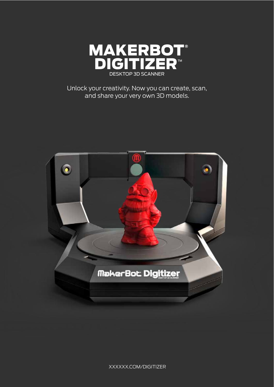

Unlock your creativity. Now you can create, scan, and share your very own 3D models.



XXXXXX.COM/DIGITIZER